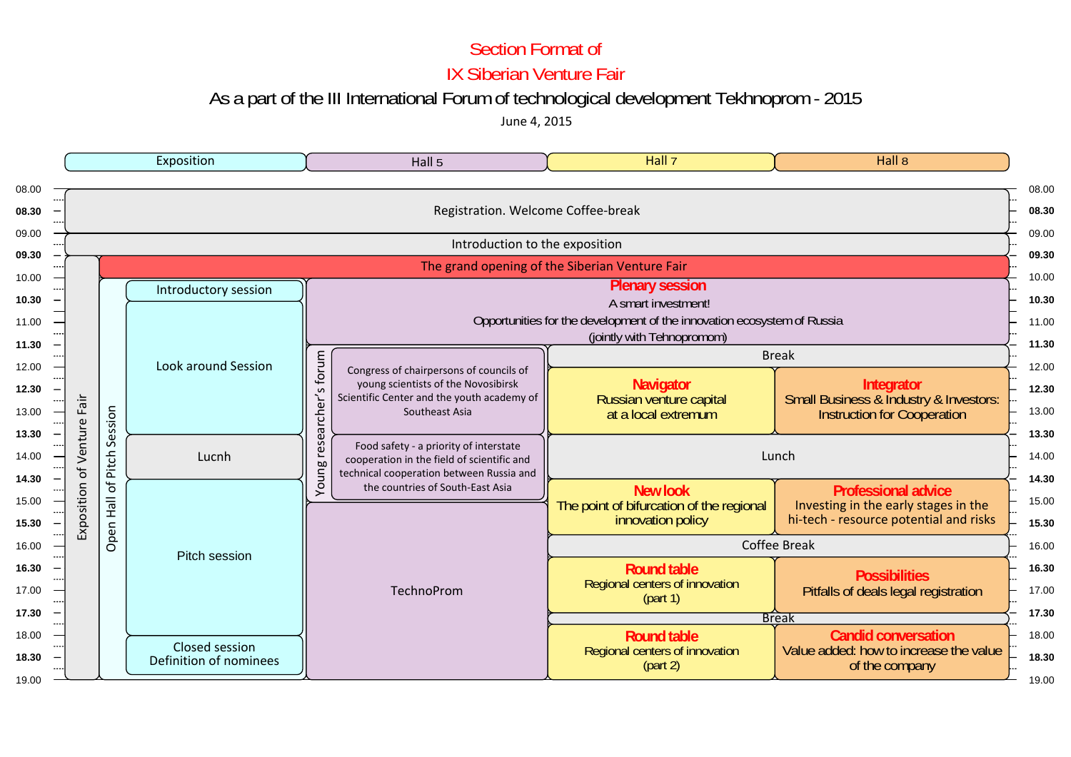### Section Format of

IX Siberian Venture Fair

# As a part of the III International Forum of technological development Tekhnoprom - 2015

June 4, 2015

|                      | Exposition                         |                                                 |                               | Hall 5                                                                                                                                                                                                                                                                                                                 | Hall 7                                                                           | Hall $8$                                                                                                     |  |  |  |  |  |  |
|----------------------|------------------------------------|-------------------------------------------------|-------------------------------|------------------------------------------------------------------------------------------------------------------------------------------------------------------------------------------------------------------------------------------------------------------------------------------------------------------------|----------------------------------------------------------------------------------|--------------------------------------------------------------------------------------------------------------|--|--|--|--|--|--|
|                      | Registration. Welcome Coffee-break |                                                 |                               |                                                                                                                                                                                                                                                                                                                        |                                                                                  |                                                                                                              |  |  |  |  |  |  |
|                      |                                    |                                                 |                               | Introduction to the exposition                                                                                                                                                                                                                                                                                         |                                                                                  |                                                                                                              |  |  |  |  |  |  |
|                      |                                    |                                                 |                               |                                                                                                                                                                                                                                                                                                                        | The grand opening of the Siberian Venture Fair                                   |                                                                                                              |  |  |  |  |  |  |
|                      |                                    | Introductory session                            |                               | <b>Plenary session</b><br>A smart investment!                                                                                                                                                                                                                                                                          |                                                                                  |                                                                                                              |  |  |  |  |  |  |
|                      |                                    | <b>Look around Session</b>                      |                               | Opportunities for the development of the innovation ecosystem of Russia<br>(jointly with Tehnopromom)                                                                                                                                                                                                                  |                                                                                  |                                                                                                              |  |  |  |  |  |  |
|                      |                                    |                                                 | forum<br>ပ<br>cher'           | Congress of chairpersons of councils of<br>young scientists of the Novosibirsk<br>Scientific Center and the youth academy of<br>Southeast Asia<br>Food safety - a priority of interstate<br>cooperation in the field of scientific and<br>technical cooperation between Russia and<br>the countries of South-East Asia | <b>Navigator</b>                                                                 | <b>Break</b><br>Integrator                                                                                   |  |  |  |  |  |  |
| Fair                 | Session                            |                                                 |                               |                                                                                                                                                                                                                                                                                                                        | Russian venture capital<br>at a local extremum                                   | Small Business & Industry & Investors:<br><b>Instruction for Cooperation</b>                                 |  |  |  |  |  |  |
| ntu<br>$\omega$<br>ъ | Pitch                              | Lucnh                                           | ത<br>Õ<br>S<br>Ö<br><b>bo</b> |                                                                                                                                                                                                                                                                                                                        | Lunch                                                                            |                                                                                                              |  |  |  |  |  |  |
| Exposition           | đ<br>$\frac{1}{16}$                |                                                 | iuno,<br>≻                    |                                                                                                                                                                                                                                                                                                                        | <b>New look</b><br>The point of bifurcation of the regional<br>innovation policy | <b>Professional advice</b><br>Investing in the early stages in the<br>hi-tech - resource potential and risks |  |  |  |  |  |  |
|                      | Open                               | Pitch session                                   |                               |                                                                                                                                                                                                                                                                                                                        | <b>Coffee Break</b>                                                              |                                                                                                              |  |  |  |  |  |  |
|                      |                                    |                                                 |                               | TechnoProm                                                                                                                                                                                                                                                                                                             | <b>Round table</b><br>Regional centers of innovation<br>(part 1)                 | <b>Possibilities</b><br>Pitfalls of deals legal registration                                                 |  |  |  |  |  |  |
|                      |                                    |                                                 |                               |                                                                                                                                                                                                                                                                                                                        | <b>Break</b>                                                                     |                                                                                                              |  |  |  |  |  |  |
|                      |                                    | <b>Closed session</b><br>Definition of nominees |                               |                                                                                                                                                                                                                                                                                                                        | <b>Round table</b><br>Regional centers of innovation<br>(part 2)                 | <b>Candid conversation</b><br>Value added: how to increase the value<br>of the company                       |  |  |  |  |  |  |